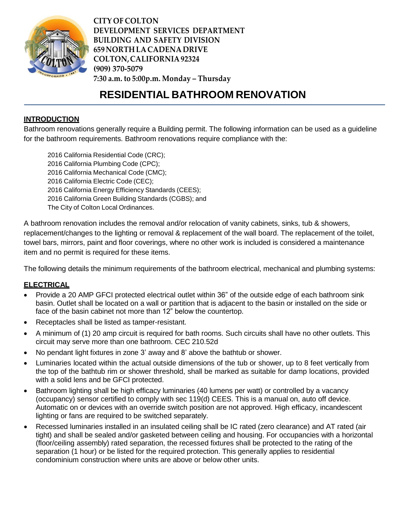

**CITY OF COLTON DEVELOPMENT SERVICES DEPARTMENT BUILDING AND SAFETY DIVISION 659 NORTH LACADENA DRIVE COLTON,CALIFORNIA92324 (909) 370-5079 7:30 a.m. to 5:00p.m. Monday – Thursday**

# **RESIDENTIAL BATHROOM RENOVATION**

#### **INTRODUCTION**

Bathroom renovations generally require a Building permit. The following information can be used as a guideline for the bathroom requirements. Bathroom renovations require compliance with the:

 California Residential Code (CRC); California Plumbing Code (CPC); California Mechanical Code (CMC); California Electric Code (CEC); California Energy Efficiency Standards (CEES); California Green Building Standards (CGBS); and The City of Colton Local Ordinances.

A bathroom renovation includes the removal and/or relocation of vanity cabinets, sinks, tub & showers, replacement/changes to the lighting or removal & replacement of the wall board. The replacement of the toilet, towel bars, mirrors, paint and floor coverings, where no other work is included is considered a maintenance item and no permit is required for these items.

The following details the minimum requirements of the bathroom electrical, mechanical and plumbing systems:

#### **ELECTRICAL**

- Provide a 20 AMP GFCI protected electrical outlet within 36" of the outside edge of each bathroom sink basin. Outlet shall be located on a wall or partition that is adjacent to the basin or installed on the side or face of the basin cabinet not more than 12" below the countertop.
- Receptacles shall be listed as tamper-resistant.
- A minimum of (1) 20 amp circuit is required for bath rooms. Such circuits shall have no other outlets. This circuit may serve more than one bathroom. CEC 210.52d
- No pendant light fixtures in zone 3' away and 8' above the bathtub or shower.
- Luminaries located within the actual outside dimensions of the tub or shower, up to 8 feet vertically from the top of the bathtub rim or shower threshold, shall be marked as suitable for damp locations, provided with a solid lens and be GFCI protected.
- Bathroom lighting shall be high efficacy luminaries (40 lumens per watt) or controlled by a vacancy (occupancy) sensor certified to comply with sec 119(d) CEES. This is a manual on, auto off device. Automatic on or devices with an override switch position are not approved. High efficacy, incandescent lighting or fans are required to be switched separately.
- Recessed luminaries installed in an insulated ceiling shall be IC rated (zero clearance) and AT rated (air tight) and shall be sealed and/or gasketed between ceiling and housing. For occupancies with a horizontal (floor/ceiling assembly) rated separation, the recessed fixtures shall be protected to the rating of the separation (1 hour) or be listed for the required protection. This generally applies to residential condominium construction where units are above or below other units.